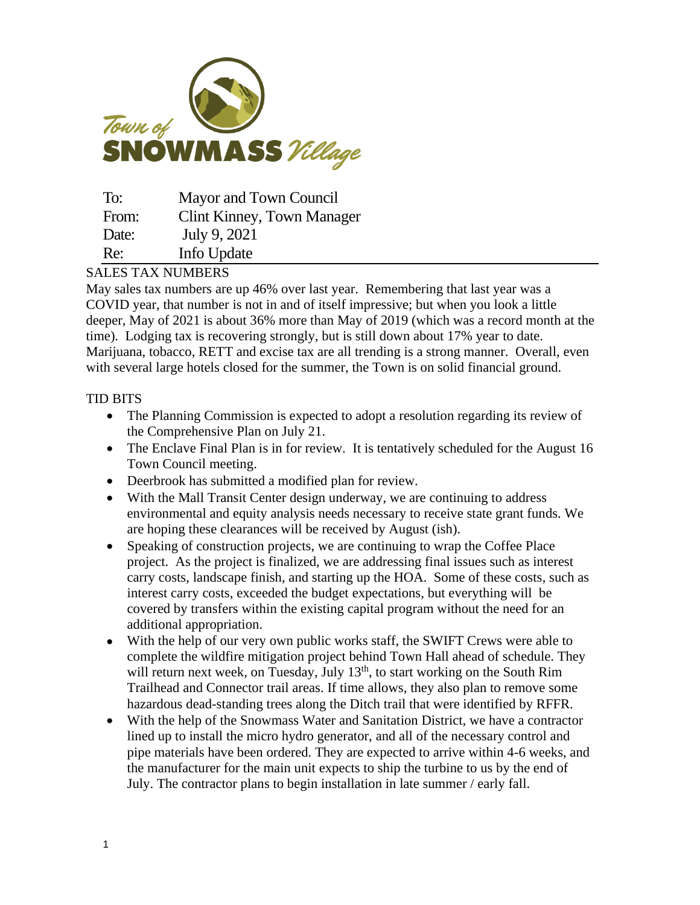

| To:   | Mayor and Town Council            |
|-------|-----------------------------------|
| From: | <b>Clint Kinney, Town Manager</b> |
| Date: | July 9, 2021                      |
| Re:   | Info Update                       |

## SALES TAX NUMBERS

May sales tax numbers are up 46% over last year. Remembering that last year was a COVID year, that number is not in and of itself impressive; but when you look a little deeper, May of 2021 is about 36% more than May of 2019 (which was a record month at the time). Lodging tax is recovering strongly, but is still down about 17% year to date. Marijuana, tobacco, RETT and excise tax are all trending is a strong manner. Overall, even with several large hotels closed for the summer, the Town is on solid financial ground.

## TID BITS

- The Planning Commission is expected to adopt a resolution regarding its review of the Comprehensive Plan on July 21.
- The Enclave Final Plan is in for review. It is tentatively scheduled for the August 16 Town Council meeting.
- Deerbrook has submitted a modified plan for review.
- With the Mall Transit Center design underway, we are continuing to address environmental and equity analysis needs necessary to receive state grant funds. We are hoping these clearances will be received by August (ish).
- Speaking of construction projects, we are continuing to wrap the Coffee Place project. As the project is finalized, we are addressing final issues such as interest carry costs, landscape finish, and starting up the HOA. Some of these costs, such as interest carry costs, exceeded the budget expectations, but everything will be covered by transfers within the existing capital program without the need for an additional appropriation.
- With the help of our very own public works staff, the SWIFT Crews were able to complete the wildfire mitigation project behind Town Hall ahead of schedule. They will return next week, on Tuesday, July  $13<sup>th</sup>$ , to start working on the South Rim Trailhead and Connector trail areas. If time allows, they also plan to remove some hazardous dead-standing trees along the Ditch trail that were identified by RFFR.
- With the help of the Snowmass Water and Sanitation District, we have a contractor lined up to install the micro hydro generator, and all of the necessary control and pipe materials have been ordered. They are expected to arrive within 4-6 weeks, and the manufacturer for the main unit expects to ship the turbine to us by the end of July. The contractor plans to begin installation in late summer / early fall.